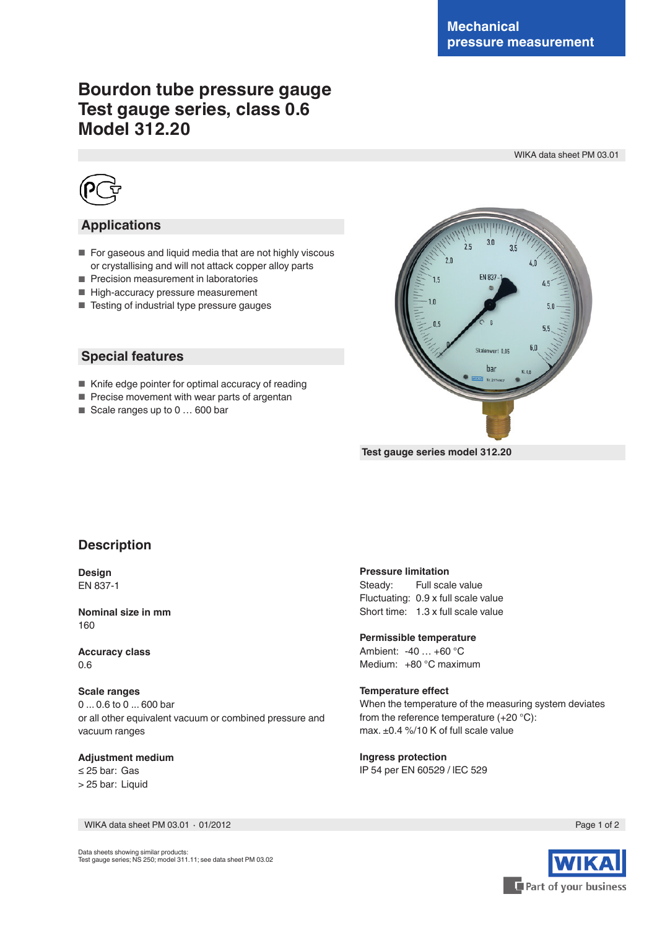# **Bourdon tube pressure gauge Test gauge series, class 0.6 Model 312.20**

WIKA data sheet PM 03.01



### **Applications**

- For gaseous and liquid media that are not highly viscous or crystallising and will not attack copper alloy parts
- Precision measurement in laboratories
- High-accuracy pressure measurement
- Testing of industrial type pressure gauges

### **Special features**

- Knife edge pointer for optimal accuracy of reading
- Precise movement with wear parts of argentan
- Scale ranges up to 0 ... 600 bar



 **Test gauge series model 312.20**

### **Description**

**Design** EN 837-1

**Nominal size in mm** 160

**Accuracy class** 0.6

**Scale ranges** 0 ... 0.6 to 0 ... 600 bar or all other equivalent vacuum or combined pressure and vacuum ranges

**Adjustment medium** ≤ 25 bar: Gas > 25 bar: Liquid

**Pressure limitation**<br>Steady: Full scal Full scale value Fluctuating: 0.9 x full scale value Short time: 1.3 x full scale value

**Permissible temperature** Ambient: -40 … +60 °C Medium: +80 °C maximum

#### **Temperature effect** When the temperature of the measuring system deviates from the reference temperature (+20 °C): max. ±0.4 %/10 K of full scale value

**Ingress protection** IP 54 per EN 60529 / lEC 529

WIKA data sheet PM 03.01 ∙ 01/2012 Page 1 of 2



Data sheets showing similar products:

Test gauge series; NS 250; model 311.11; see data sheet PM 03.02